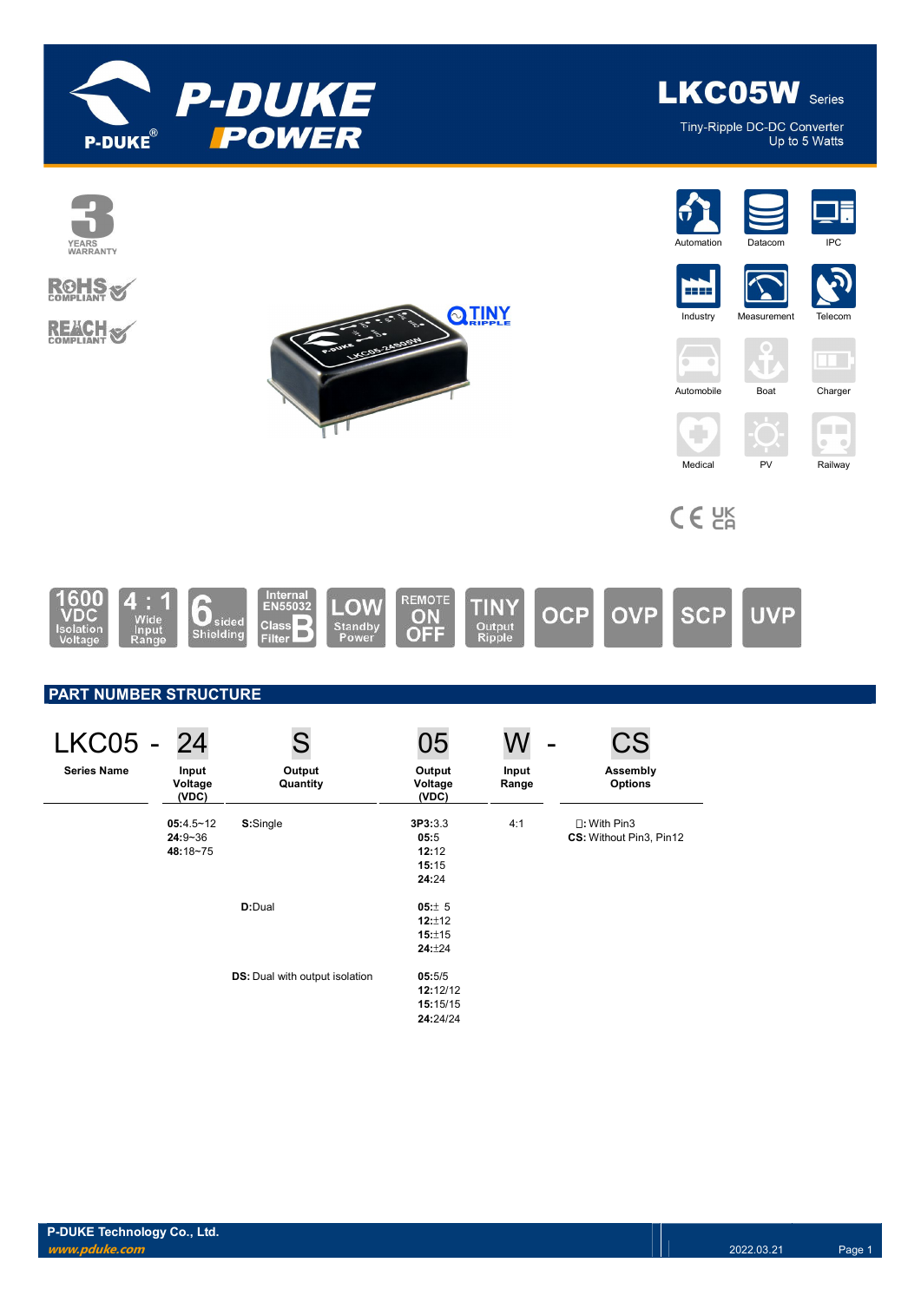

Tiny-Ripple DC-DC Converter Up to 5 Watts

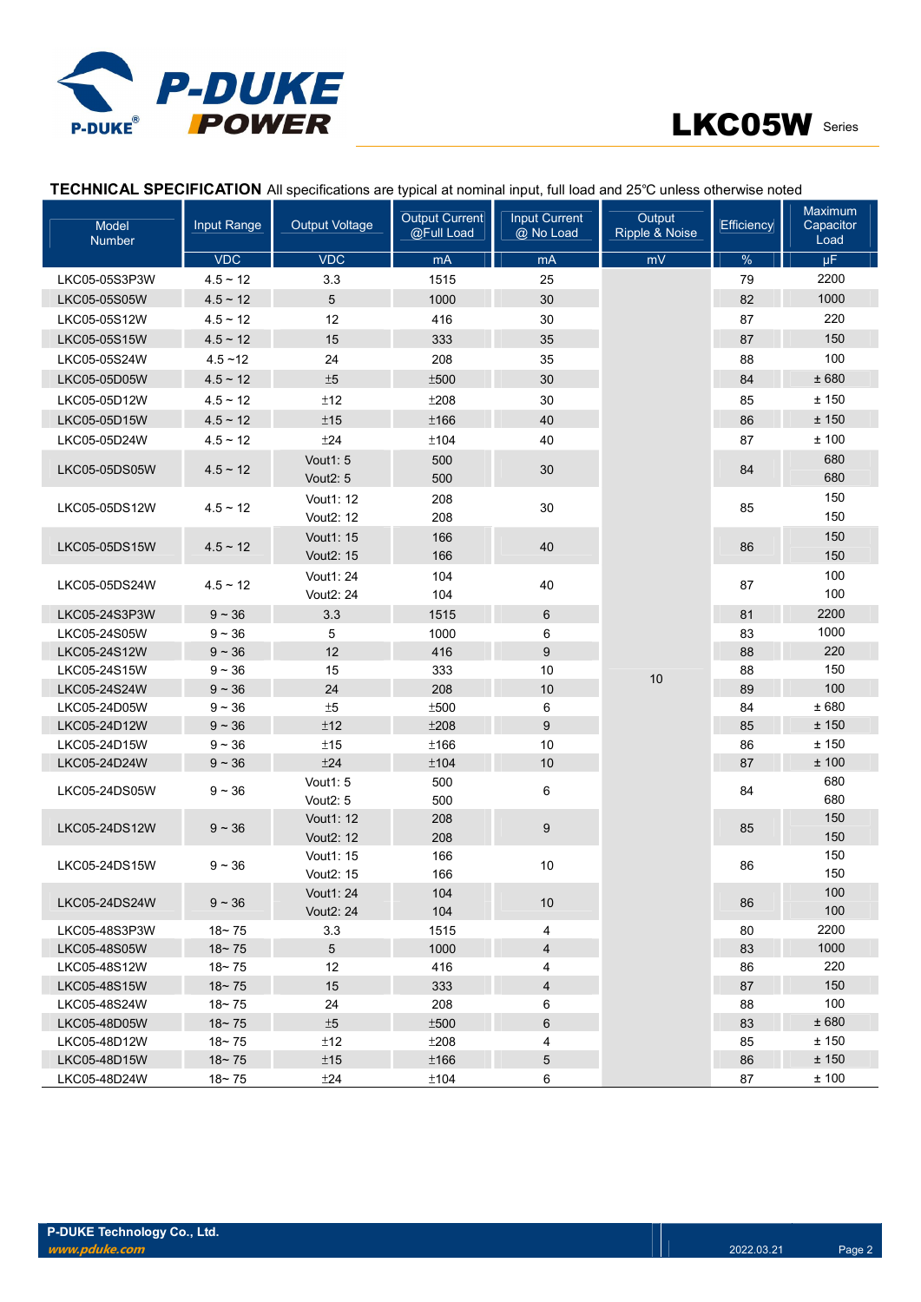



| TECHNICAL SPECIFICATION All specifications are typical at nominal input, full load and 25°C unless otherwise noted |  |                           |        |         |
|--------------------------------------------------------------------------------------------------------------------|--|---------------------------|--------|---------|
|                                                                                                                    |  | $\bigcap_{i=1}^{n} C_{i}$ | 0.48.4 | Maximum |

| Model<br>Number              | Input Range   | <b>Output Voltage</b>               | Output Current<br>@Full Load | <b>Input Current</b><br>@ No Load | Output<br>Ripple & Noise | Efficiency | <u>IVIAAIHUIH</u><br>Capacitor<br>Load |
|------------------------------|---------------|-------------------------------------|------------------------------|-----------------------------------|--------------------------|------------|----------------------------------------|
|                              | <b>VDC</b>    | <b>VDC</b>                          | mA                           | mA                                | mV                       | $\%$       | $\mu$ F                                |
| LKC05-05S3P3W                | $4.5 \sim 12$ | 3.3                                 | 1515                         | 25                                |                          | 79         | 2200                                   |
| LKC05-05S05W                 | $4.5 - 12$    | 5                                   | 1000                         | 30                                |                          | 82         | 1000                                   |
| LKC05-05S12W                 | $4.5 - 12$    | 12                                  | 416                          | 30                                |                          | 87         | 220                                    |
| LKC05-05S15W                 | $4.5 \sim 12$ | 15                                  | 333                          | 35                                |                          | 87         | 150                                    |
| LKC05-05S24W                 | $4.5 - 12$    | 24                                  | 208                          | 35                                |                          | 88         | 100                                    |
| LKC05-05D05W                 | $4.5 - 12$    | ±5                                  | ±500                         | 30                                |                          | 84         | ± 680                                  |
| LKC05-05D12W                 | $4.5 - 12$    | ±12                                 | ±208                         | 30                                |                          | 85         | ± 150                                  |
| LKC05-05D15W                 | $4.5 \sim 12$ | ±15                                 | ±166                         | 40                                |                          | 86         | ± 150                                  |
| LKC05-05D24W                 | $4.5 - 12$    | ±24                                 | ±104                         | 40                                |                          | 87         | ±100                                   |
| LKC05-05DS05W                | $4.5 - 12$    | <b>Vout1: 5</b>                     | 500                          | 30                                |                          | 84         | 680<br>680                             |
|                              |               | Vout <sub>2</sub> : 5               | 500                          |                                   |                          |            |                                        |
| LKC05-05DS12W                | $4.5 - 12$    | Vout1: 12<br>Vout <sub>2</sub> : 12 | 208<br>208                   | 30                                |                          | 85         | 150<br>150                             |
| LKC05-05DS15W                | $4.5 \sim 12$ | Vout1: 15<br>Vout <sub>2</sub> : 15 | 166<br>166                   | 40                                |                          | 86         | 150<br>150                             |
|                              |               | Vout1: 24                           | 104                          |                                   |                          |            | 100                                    |
| LKC05-05DS24W                | $4.5 - 12$    | Vout2: 24                           | 104                          | 40                                |                          | 87         | 100                                    |
| LKC05-24S3P3W                | $9 - 36$      | 3.3                                 | 1515                         | 6                                 |                          | 81         | 2200                                   |
| LKC05-24S05W                 | $9 - 36$      | 5                                   | 1000                         | 6                                 |                          | 83         | 1000                                   |
| LKC05-24S12W                 | $9 - 36$      | 12                                  | 416                          | 9                                 |                          | 88         | 220                                    |
| LKC05-24S15W                 | $9 - 36$      | 15                                  | 333                          | 10                                |                          | 88         | 150                                    |
| LKC05-24S24W                 | $9 - 36$      | 24                                  | 208                          | 10                                | 10                       | 89         | 100                                    |
| LKC05-24D05W                 | $9 - 36$      | $\pm 5$                             | ±500                         | 6                                 |                          | 84         | ±680                                   |
| LKC05-24D12W                 | $9 - 36$      | ±12                                 | ±208                         | 9                                 |                          | 85         | ± 150                                  |
| LKC05-24D15W                 | $9 - 36$      | ±15                                 | ±166                         | 10                                |                          | 86         | ±150                                   |
| LKC05-24D24W                 | $9 - 36$      | ±24                                 | ±104                         | 10                                |                          | 87         | ±100                                   |
| LKC05-24DS05W                | $9 - 36$      | Vout1: 5<br>Vout <sub>2</sub> : 5   | 500<br>500                   | 6                                 |                          | 84         | 680<br>680                             |
|                              |               | Vout1: 12                           | 208                          |                                   |                          |            | 150                                    |
| LKC05-24DS12W                | $9 - 36$      | Vout <sub>2</sub> : 12              | 208                          | 9                                 |                          | 85         | 150                                    |
| LKC05-24DS15W                | $9 - 36$      | Vout1: 15<br>Vout <sub>2</sub> : 15 | 166<br>166                   | 10                                |                          | 86         | 150<br>150                             |
| LKC05-24DS24W                | $9 - 36$      | Vout1: 24                           | 104                          | 10 <sup>°</sup>                   |                          | 86         | 100                                    |
|                              |               | Vout2: 24                           | 104                          |                                   |                          |            | 100                                    |
| LKC05-48S3P3W                | $18 - 75$     | 3.3                                 | 1515                         | 4                                 |                          | 80         | 2200                                   |
| LKC05-48S05W                 | $18 - 75$     | $5\overline{)}$                     | 1000                         | $\overline{4}$                    |                          | 83         | 1000                                   |
| LKC05-48S12W                 | $18 - 75$     | 12                                  | 416                          | 4                                 |                          | 86         | 220                                    |
| LKC05-48S15W                 | $18 - 75$     | 15                                  | 333                          | $\overline{4}$                    |                          | 87         | 150                                    |
| LKC05-48S24W                 | $18 - 75$     | 24                                  | 208                          | 6                                 |                          | 88         | 100                                    |
| LKC05-48D05W                 | $18 - 75$     | ±5                                  | ±500                         | 6                                 |                          | 83         | ± 680                                  |
| LKC05-48D12W                 | $18 - 75$     | ±12                                 | ±208                         | 4                                 |                          | 85         | ± 150<br>± 150                         |
| LKC05-48D15W<br>LKC05-48D24W | $18 - 75$     | ±15<br>±24                          | ±166<br>±104                 | 5<br>6                            |                          | 86<br>87   | ±100                                   |
|                              | $18 - 75$     |                                     |                              |                                   |                          |            |                                        |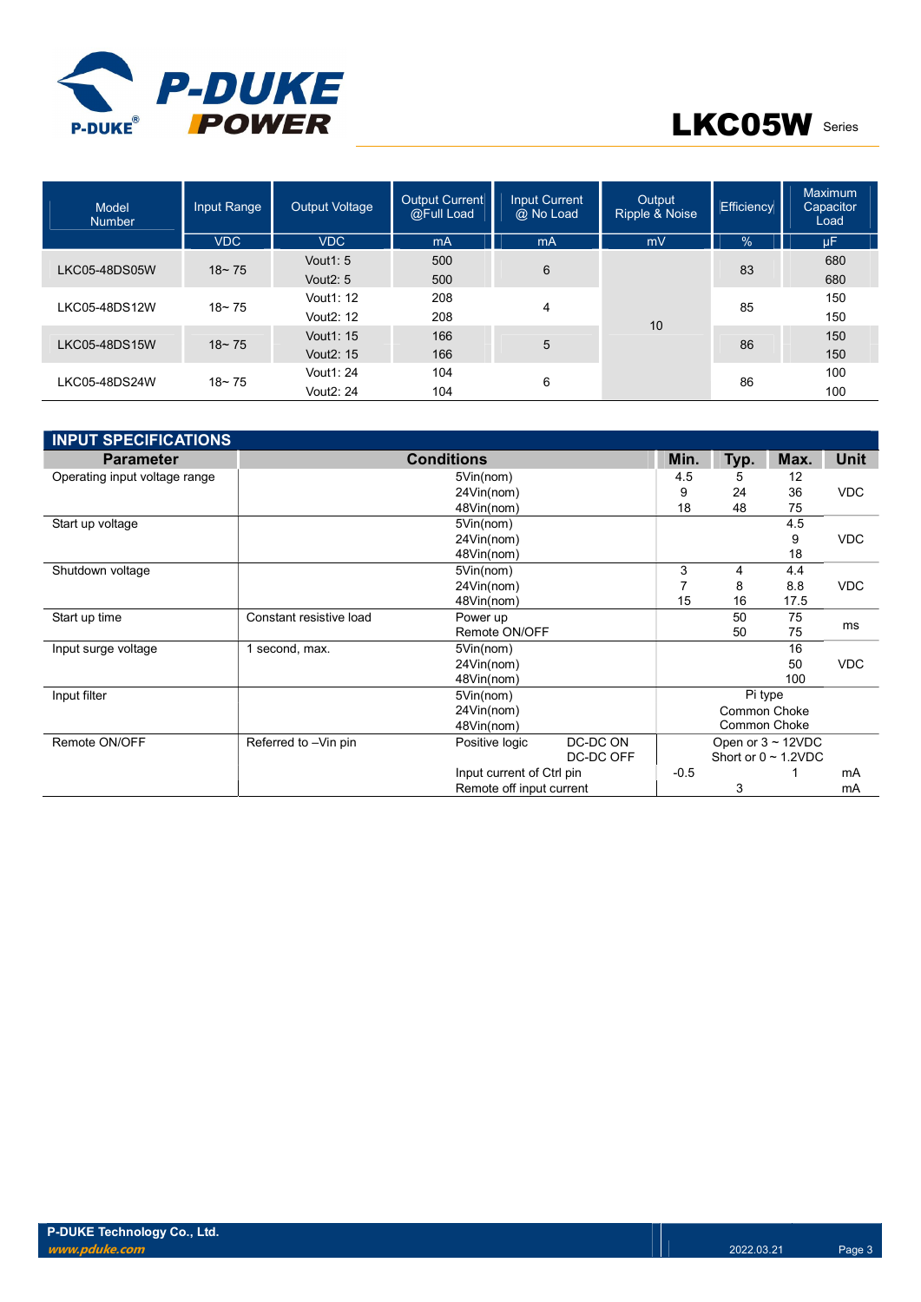

| Model<br><b>Number</b> | Input Range      | <b>Output Voltage</b>   | <b>Output Current</b><br>@Full Load | <b>Input Current</b><br>@ No Load | Output<br>Ripple & Noise | Efficiency | Maximum<br>Capacitor<br>Load |    |     |    |     |
|------------------------|------------------|-------------------------|-------------------------------------|-----------------------------------|--------------------------|------------|------------------------------|----|-----|----|-----|
|                        | <b>VDC</b>       | <b>VDC</b>              | mA                                  | m <sub>A</sub>                    | mV                       | $\%$       | μF                           |    |     |    |     |
| LKC05-48DS05W          | $18 - 75$        | Vout <sub>1</sub> : $5$ | 500                                 | 6                                 |                          | 83         | 680                          |    |     |    |     |
|                        |                  | Vout <sub>2</sub> : 5   | 500                                 |                                   |                          |            | 680                          |    |     |    |     |
| LKC05-48DS12W          | $18 - 75$        | Vout1: 12               | 208                                 |                                   |                          | 4          |                              | 85 | 150 |    |     |
|                        |                  | Vout <sub>2</sub> : 12  | 208                                 |                                   | 10                       |            | 150                          |    |     |    |     |
|                        | $18 - 75$        | Vout1: 15               | 166                                 |                                   |                          |            |                              | 86 | 150 |    |     |
| LKC05-48DS15W          |                  | Vout <sub>2</sub> : 15  | 166                                 | 5                                 |                          |            | 150                          |    |     |    |     |
|                        | 104<br>Vout1: 24 |                         |                                     |                                   | 100                      |            |                              |    |     |    |     |
| LKC05-48DS24W          | $18 - 75$        | Vout <sub>2</sub> : 24  | 104                                 | 6                                 |                          |            |                              |    |     | 86 | 100 |

| <b>INPUT SPECIFICATIONS</b>   |                         |                           |           |        |              |                           |             |  |
|-------------------------------|-------------------------|---------------------------|-----------|--------|--------------|---------------------------|-------------|--|
| <b>Parameter</b>              |                         | <b>Conditions</b>         |           | Min.   | Typ.         | Max.                      | <b>Unit</b> |  |
| Operating input voltage range |                         | 5Vin(nom)                 |           | 4.5    | 5            | 12                        |             |  |
|                               |                         | 24Vin(nom)                |           | 9      | 24           | 36                        | <b>VDC</b>  |  |
|                               |                         | 48Vin(nom)                |           | 18     | 48           | 75                        |             |  |
| Start up voltage              |                         | 5Vin(nom)                 |           |        |              | 4.5                       |             |  |
|                               |                         | 24Vin(nom)                |           |        |              | 9                         | <b>VDC</b>  |  |
|                               |                         | 48Vin(nom)                |           |        |              | 18                        |             |  |
| Shutdown voltage              |                         | 5Vin(nom)                 |           | 3      | 4            | 4.4                       |             |  |
|                               |                         | 24Vin(nom)                |           | 8      | 8.8          | <b>VDC</b>                |             |  |
|                               |                         | 48Vin(nom)                |           | 15     | 16           | 17.5                      |             |  |
| Start up time                 | Constant resistive load | Power up                  |           |        | 50           | 75                        | ms          |  |
|                               |                         | Remote ON/OFF             |           |        | 50           | 75                        |             |  |
| Input surge voltage           | 1 second, max.          | 5Vin(nom)                 |           |        |              | 16                        |             |  |
|                               |                         | 24Vin(nom)                |           |        |              | 50                        | <b>VDC</b>  |  |
|                               |                         | 48Vin(nom)                |           |        |              | 100                       |             |  |
| Input filter                  |                         | 5Vin(nom)                 |           |        | Pi type      |                           |             |  |
|                               |                         | 24Vin(nom)                |           |        | Common Choke |                           |             |  |
|                               |                         | 48Vin(nom)                |           |        | Common Choke |                           |             |  |
| Remote ON/OFF                 | Referred to -Vin pin    | Positive logic            | DC-DC ON  |        |              | Open or $3 \sim 12$ VDC   |             |  |
|                               |                         |                           | DC-DC OFF |        |              | Short or $0 \sim 1.2$ VDC |             |  |
|                               |                         | Input current of Ctrl pin |           | $-0.5$ |              |                           | mA          |  |
|                               |                         | Remote off input current  |           |        | 3            |                           | mA          |  |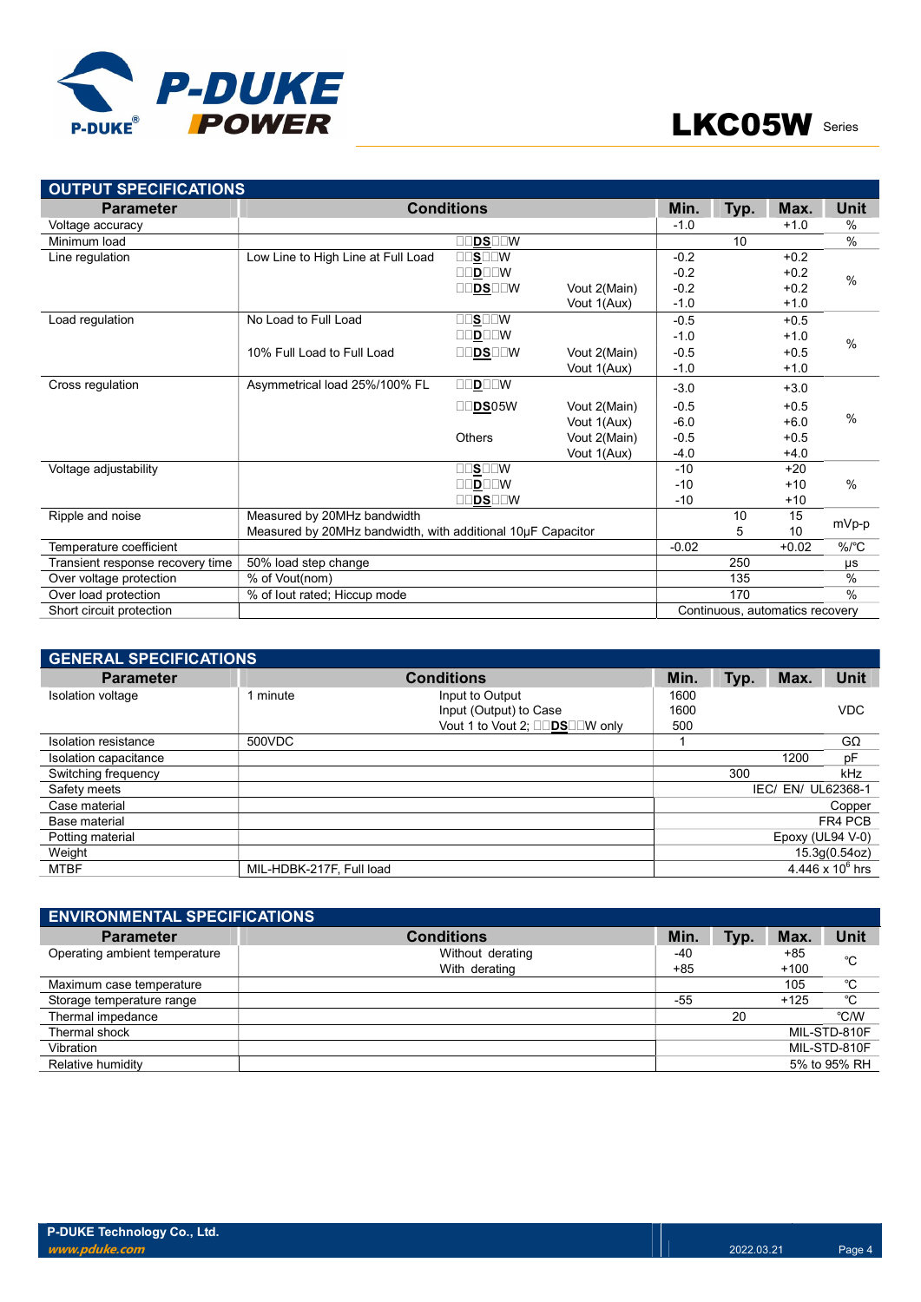

| <b>OUTPUT SPECIFICATIONS</b>     |                                                             |                                       |              |         |      |                                 |               |
|----------------------------------|-------------------------------------------------------------|---------------------------------------|--------------|---------|------|---------------------------------|---------------|
| <b>Parameter</b>                 |                                                             | <b>Conditions</b>                     |              | Min.    | Typ. | Max.                            | <b>Unit</b>   |
| Voltage accuracy                 |                                                             |                                       |              | $-1.0$  |      | $+1.0$                          | %             |
| Minimum load                     |                                                             | ]DS⊟⊡W                                |              |         | 10   |                                 | $\frac{0}{0}$ |
| Line regulation                  | Low Line to High Line at Full Load                          | $\square\square$ s $\square\square$ w |              | $-0.2$  |      | $+0.2$                          |               |
|                                  |                                                             | $\square\square$ D $\square\square$   |              | $-0.2$  |      | $+0.2$                          | $\frac{0}{0}$ |
|                                  |                                                             | OODSOOW                               | Vout 2(Main) | $-0.2$  |      | $+0.2$                          |               |
|                                  |                                                             |                                       | Vout 1(Aux)  | $-1.0$  |      | $+1.0$                          |               |
| Load regulation                  | No Load to Full Load                                        | $\Box$ S $\Box$ W                     |              | $-0.5$  |      | $+0.5$                          |               |
|                                  |                                                             | <b>OODOOW</b>                         |              | $-1.0$  |      | $+1.0$                          | $\frac{0}{0}$ |
|                                  | 10% Full Load to Full Load                                  | IDSEEW                                | Vout 2(Main) | $-0.5$  |      | $+0.5$                          |               |
|                                  |                                                             |                                       | Vout 1(Aux)  | $-1.0$  |      | $+1.0$                          |               |
| Cross regulation                 | Asymmetrical load 25%/100% FL                               | DOOW<br>П                             |              | $-3.0$  |      | $+3.0$                          |               |
|                                  |                                                             | <b>DS</b> 05W                         | Vout 2(Main) | $-0.5$  |      | $+0.5$                          |               |
|                                  |                                                             |                                       | Vout 1(Aux)  | $-6.0$  |      | $+6.0$                          | %             |
|                                  |                                                             | <b>Others</b>                         | Vout 2(Main) | $-0.5$  |      | $+0.5$                          |               |
|                                  |                                                             |                                       | Vout 1(Aux)  | $-4.0$  |      | $+4.0$                          |               |
| Voltage adjustability            |                                                             | OOSOOW                                |              | $-10$   |      | $+20$                           |               |
|                                  |                                                             | <b>OODOOW</b>                         |              | $-10$   |      | $+10$                           | %             |
|                                  |                                                             | ]DS⊡⊡W                                |              | $-10$   |      | $+10$                           |               |
| Ripple and noise                 | Measured by 20MHz bandwidth                                 |                                       |              |         | 10   | 15                              | mVp-p         |
|                                  | Measured by 20MHz bandwidth, with additional 10µF Capacitor |                                       |              |         | 5    | 10                              |               |
| Temperature coefficient          |                                                             |                                       |              | $-0.02$ |      | $+0.02$                         | $%$ /°C       |
| Transient response recovery time | 50% load step change                                        |                                       |              |         | 250  |                                 | μs            |
| Over voltage protection          | % of Vout(nom)                                              |                                       |              |         | 135  |                                 | $\frac{0}{0}$ |
| Over load protection             | % of lout rated; Hiccup mode                                |                                       |              |         | 170  |                                 | $\frac{0}{0}$ |
| Short circuit protection         |                                                             |                                       |              |         |      | Continuous, automatics recovery |               |

| <b>GENERAL SPECIFICATIONS</b> |                          |                                |      |      |                  |                    |  |  |  |
|-------------------------------|--------------------------|--------------------------------|------|------|------------------|--------------------|--|--|--|
| <b>Parameter</b>              |                          | <b>Conditions</b>              | Min. | Typ. | Max.             | <b>Unit</b>        |  |  |  |
| Isolation voltage             | 1 minute                 | Input to Output                | 1600 |      |                  |                    |  |  |  |
|                               |                          | Input (Output) to Case         | 1600 |      |                  | <b>VDC</b>         |  |  |  |
|                               |                          | Vout 1 to Vout 2; □□DS□□W only | 500  |      |                  |                    |  |  |  |
| Isolation resistance          | 500VDC                   |                                |      |      |                  | $G\Omega$          |  |  |  |
| Isolation capacitance         |                          |                                |      |      | 1200             | pF                 |  |  |  |
| Switching frequency           |                          |                                |      | 300  |                  | kHz                |  |  |  |
| Safety meets                  |                          |                                |      | IEC/ |                  | EN/ UL62368-1      |  |  |  |
| Case material                 |                          |                                |      |      |                  | Copper             |  |  |  |
| Base material                 |                          |                                |      |      |                  | FR4 PCB            |  |  |  |
| Potting material              |                          |                                |      |      | Epoxy (UL94 V-0) |                    |  |  |  |
| Weight                        |                          |                                |      |      |                  | 15.3g(0.54oz)      |  |  |  |
| <b>MTBF</b>                   | MIL-HDBK-217F. Full load |                                |      |      |                  | 4.446 x $10^6$ hrs |  |  |  |

| <b>ENVIRONMENTAL SPECIFICATIONS</b> |                   |       |      |        |              |
|-------------------------------------|-------------------|-------|------|--------|--------------|
| <b>Parameter</b>                    | <b>Conditions</b> | Min.  | Typ. | Max.   | Unit         |
| Operating ambient temperature       | Without derating  | -40   |      | $+85$  | °C           |
|                                     | With derating     | $+85$ |      | $+100$ |              |
| Maximum case temperature            |                   |       |      | 105    | °C           |
| Storage temperature range           |                   | $-55$ |      | $+125$ | °C           |
| Thermal impedance                   |                   |       | 20   |        | °C/W         |
| Thermal shock                       |                   |       |      |        | MIL-STD-810F |
| Vibration                           |                   |       |      |        | MIL-STD-810F |
| Relative humidity                   |                   |       |      |        | 5% to 95% RH |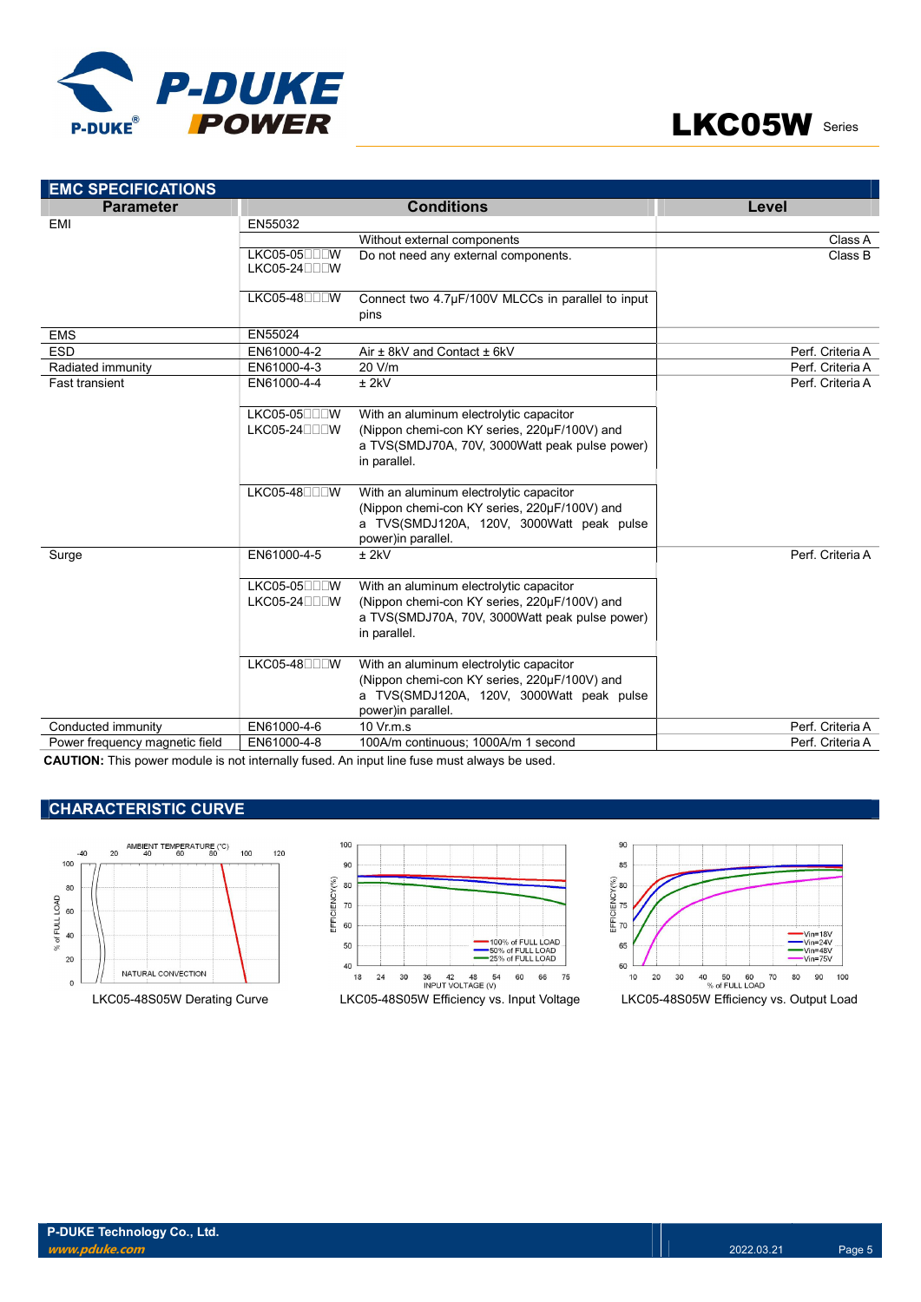



| <b>EMC SPECIFICATIONS</b>      |                            |                                                                                                                                                            |                  |
|--------------------------------|----------------------------|------------------------------------------------------------------------------------------------------------------------------------------------------------|------------------|
| <b>Parameter</b>               |                            | <b>Conditions</b>                                                                                                                                          | Level            |
| <b>EMI</b>                     | EN55032                    |                                                                                                                                                            |                  |
|                                |                            | Without external components                                                                                                                                | Class A          |
|                                | LKC05-05□□□W<br>$LKCO5-24$ | Do not need any external components.                                                                                                                       | Class B          |
|                                | LKC05-48□□□W               | Connect two 4.7µF/100V MLCCs in parallel to input<br>pins                                                                                                  |                  |
| <b>EMS</b>                     | EN55024                    |                                                                                                                                                            |                  |
| <b>ESD</b>                     | EN61000-4-2                | Air ± 8kV and Contact ± 6kV                                                                                                                                | Perf. Criteria A |
| Radiated immunity              | EN61000-4-3                | 20 V/m                                                                                                                                                     | Perf. Criteria A |
| <b>Fast transient</b>          | EN61000-4-4                | $±$ 2kV                                                                                                                                                    | Perf. Criteria A |
|                                | LKC05-05□□□W               | With an aluminum electrolytic capacitor                                                                                                                    |                  |
|                                | LKC05-24□□□W               | (Nippon chemi-con KY series, 220µF/100V) and<br>a TVS(SMDJ70A, 70V, 3000Watt peak pulse power)<br>in parallel.                                             |                  |
|                                | LKC05-48□□□W               | With an aluminum electrolytic capacitor<br>(Nippon chemi-con KY series, 220µF/100V) and<br>a TVS(SMDJ120A, 120V, 3000Watt peak pulse<br>power)in parallel. |                  |
| Surge                          | EN61000-4-5                | $±$ 2kV                                                                                                                                                    | Perf. Criteria A |
|                                | $LKCO5-05$<br>$LKCO5-24$   | With an aluminum electrolytic capacitor<br>(Nippon chemi-con KY series, 220µF/100V) and<br>a TVS(SMDJ70A, 70V, 3000Watt peak pulse power)<br>in parallel.  |                  |
|                                | LKC05-48□□□W               | With an aluminum electrolytic capacitor<br>(Nippon chemi-con KY series, 220µF/100V) and<br>a TVS(SMDJ120A, 120V, 3000Watt peak pulse<br>power)in parallel. |                  |
| Conducted immunity             | EN61000-4-6                | 10 Vr.m.s                                                                                                                                                  | Perf. Criteria A |
| Power frequency magnetic field | EN61000-4-8                | 100A/m continuous; 1000A/m 1 second                                                                                                                        | Perf. Criteria A |

CAUTION: This power module is not internally fused. An input line fuse must always be used.

## CHARACTERISTIC CURVE







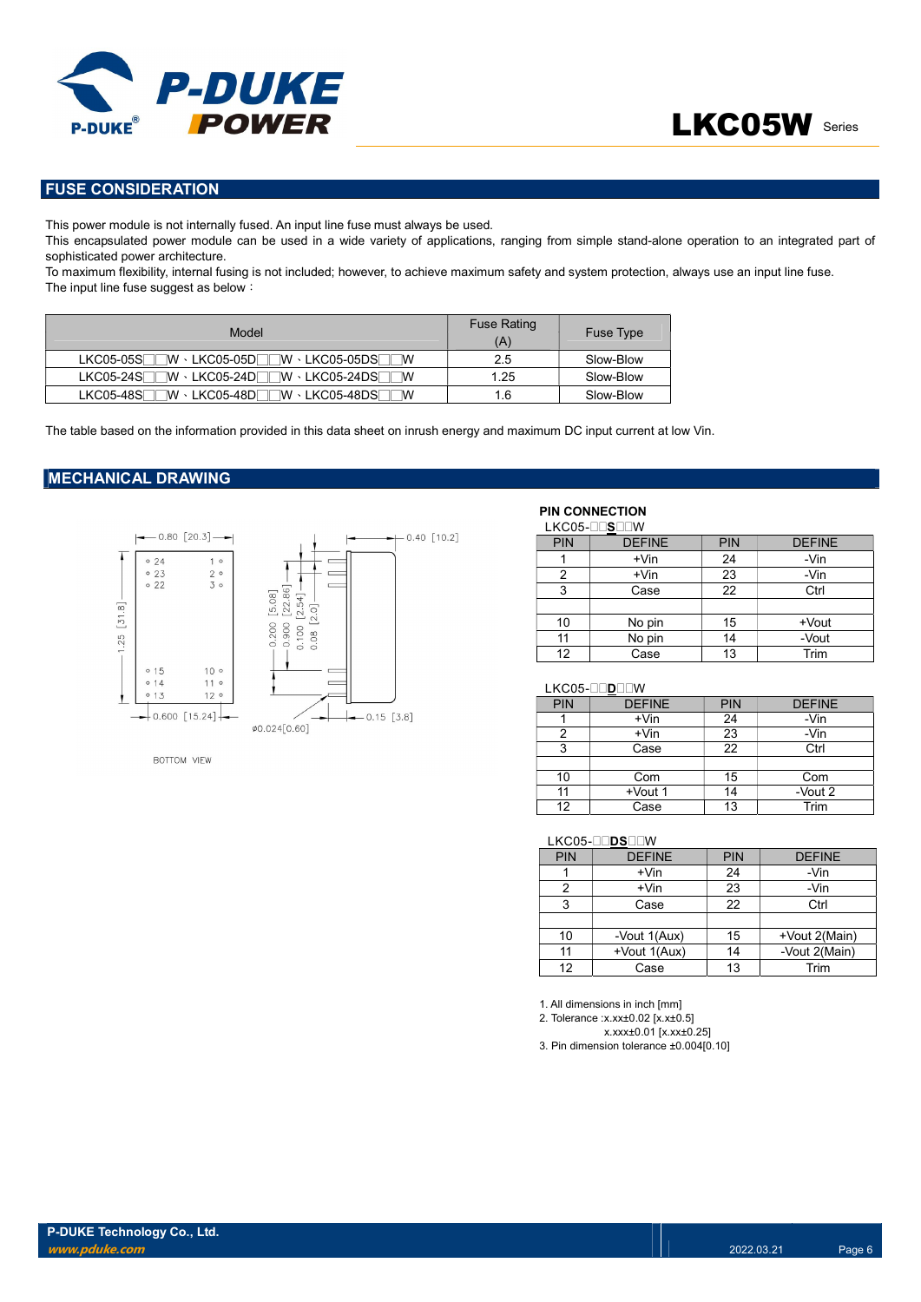

## FUSE CONSIDERATION

This power module is not internally fused. An input line fuse must always be used.

This encapsulated power module can be used in a wide variety of applications, ranging from simple stand-alone operation to an integrated part of sophisticated power architecture.

To maximum flexibility, internal fusing is not included; however, to achieve maximum safety and system protection, always use an input line fuse. The input line fuse suggest as below:

| Model                                                                                                                                                                                      | <b>Fuse Rating</b><br>(A) | Fuse Type |
|--------------------------------------------------------------------------------------------------------------------------------------------------------------------------------------------|---------------------------|-----------|
| $\exists \mathsf{W} \cdot {\sf LKCO5{\text{-}}05D} \overline{\Box} \overline{\Box} \mathsf{W} \cdot {\sf LKCO5{\text{-}}05D S} \overline{\Box} \overline{\Box}$<br>$LKCO5-05S$<br><b>W</b> | 2.5                       | Slow-Blow |
| $\exists \mathsf{W} \cdot \mathsf{LKCO5}\text{-}24\mathsf{D}$ $\Box \mathsf{TW} \cdot \mathsf{LKCO5}\text{-}24\mathsf{DS}$ $\Box$<br>$LKCO5-24S$<br>$\mathbb{I}$ M                         | 1.25                      | Slow-Blow |
| ∃W ⋅ LKC05-48D⊟⊟W ⋅ LKC05-48DS⊟⊟W<br>$LKCO5-48S$                                                                                                                                           | 1.6                       | Slow-Blow |

The table based on the information provided in this data sheet on inrush energy and maximum DC input current at low Vin.

### MECHANICAL DRAWING



**BOTTOM VIEW** 

## PIN CONNECTION

|     | LKC05-OOSOOW  |            |               |
|-----|---------------|------------|---------------|
| PIN | <b>DEFINE</b> | <b>PIN</b> | <b>DEFINE</b> |
|     | $+V$ in       | 24         | -Vin          |
| 2   | $+V$ in       | 23         | -Vin          |
| 3   | Case          | 22         | Ctrl          |
|     |               |            |               |
| 10  | No pin        | 15         | +Vout         |
| 11  | No pin        | 14         | -Vout         |
| 12  | Case          | 13         | Trim          |

#### LKC05-DODDOW

| <b>PIN</b> | <b>DEFINE</b> | <b>PIN</b> | <b>DEFINE</b> |
|------------|---------------|------------|---------------|
|            | $+V$ in       | 24         | -Vin          |
|            | $+V$ in       | 23         | -Vin          |
| 3          | Case          | 22         | Ctrl          |
|            |               |            |               |
| 10         | Com           | 15         | Com           |
| 11         | +Vout 1       | 14         | -Vout 2       |
| 12         | Case          | 13         | Trim          |

#### LKC05-DOSDOW

| <b>PIN</b>      | <b>DEFINE</b> | <b>PIN</b> | <b>DEFINE</b> |
|-----------------|---------------|------------|---------------|
|                 | $+V$ in       | 24         | -Vin          |
| າ               | $+V$ in       | 23         | -Vin          |
| 3               | Case          | 22         | Ctrl          |
|                 |               |            |               |
| 10              | -Vout 1(Aux)  | 15         | +Vout 2(Main) |
| 11              | +Vout 1(Aux)  | 14         | -Vout 2(Main) |
| 12 <sup>2</sup> | Case          | 13         | Trim          |

1. All dimensions in inch [mm]

2. Tolerance :x.xx±0.02 [x.x±0.5]

x.xxx±0.01 [x.xx±0.25]

3. Pin dimension tolerance ±0.004[0.10]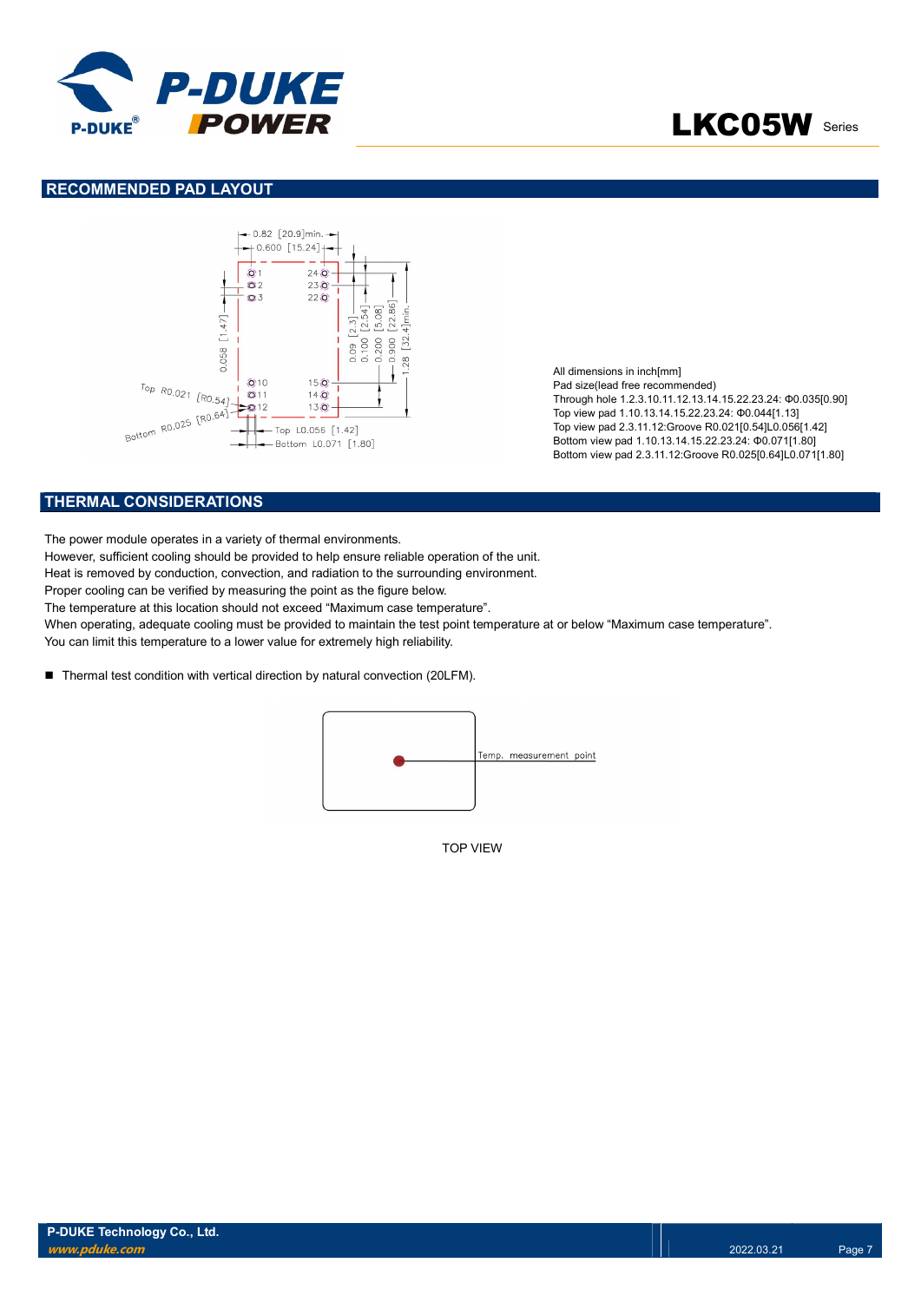

### RECOMMENDED PAD LAYOUT



All dimensions in inch[mm] Pad size(lead free recommended) Through hole 1.2.3.10.11.12.13.14.15.22.23.24: Φ0.035[0.90] Top view pad 1.10.13.14.15.22.23.24: Φ0.044[1.13] Top view pad 2.3.11.12:Groove R0.021[0.54]L0.056[1.42] Bottom view pad 1.10.13.14.15.22.23.24: Φ0.071[1.80] Bottom view pad 2.3.11.12:Groove R0.025[0.64]L0.071[1.80]

## THERMAL CONSIDERATIONS

The power module operates in a variety of thermal environments.

However, sufficient cooling should be provided to help ensure reliable operation of the unit.

Heat is removed by conduction, convection, and radiation to the surrounding environment.

Proper cooling can be verified by measuring the point as the figure below.

The temperature at this location should not exceed "Maximum case temperature".

When operating, adequate cooling must be provided to maintain the test point temperature at or below "Maximum case temperature". You can limit this temperature to a lower value for extremely high reliability.

■ Thermal test condition with vertical direction by natural convection (20LFM).



TOP VIEW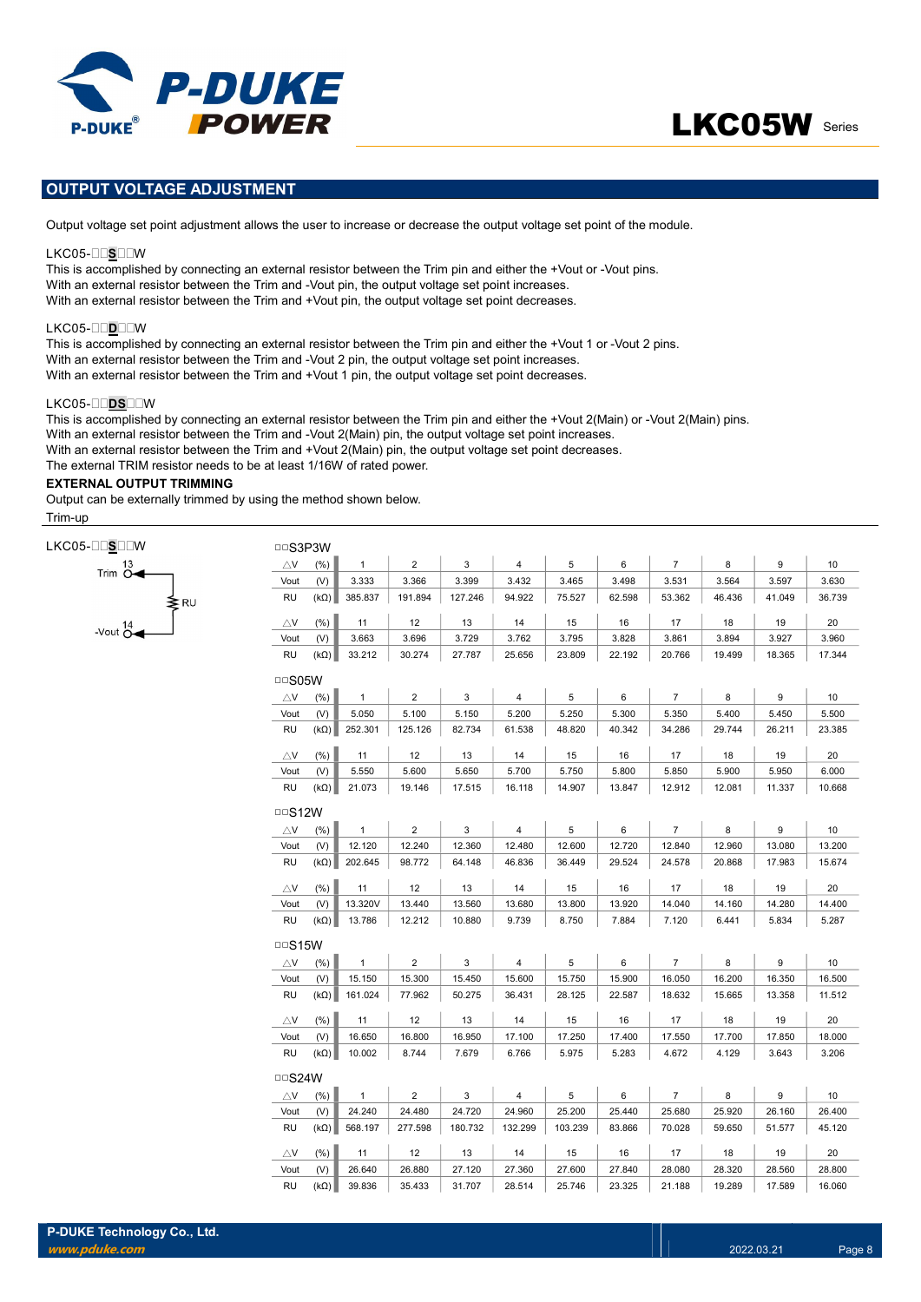



# OUTPUT VOLTAGE ADJUSTMENT

Output voltage set point adjustment allows the user to increase or decrease the output voltage set point of the module.

### LKC05-OOSOOW

This is accomplished by connecting an external resistor between the Trim pin and either the +Vout or -Vout pins. With an external resistor between the Trim and -Vout pin, the output voltage set point increases. With an external resistor between the Trim and +Vout pin, the output voltage set point decreases.

#### LKC05-DODOW

This is accomplished by connecting an external resistor between the Trim pin and either the +Vout 1 or -Vout 2 pins. With an external resistor between the Trim and -Vout 2 pin, the output voltage set point increases. With an external resistor between the Trim and +Vout 1 pin, the output voltage set point decreases.

#### LKC05-DDSDDW

This is accomplished by connecting an external resistor between the Trim pin and either the +Vout 2(Main) or -Vout 2(Main) pins. With an external resistor between the Trim and -Vout 2(Main) pin, the output voltage set point increases. With an external resistor between the Trim and +Vout 2(Main) pin, the output voltage set point decreases. The external TRIM resistor needs to be at least 1/16W of rated power.

## EXTERNAL OUTPUT TRIMMING

Output can be externally trimmed by using the method shown below. Trim-up

.<br>≩R∪

| LKC05-OOSOOW |                                   |
|--------------|-----------------------------------|
|              | 13<br>Trim $O \blacktriangleleft$ |

-Vout  $\overline{C}$ 

| $\triangle$ V                | (%)         | $\mathbf{1}$ | $\overline{2}$ | 3           | $\overline{4}$ | 5           | 6           | $\overline{7}$ | 8           | 9      |        |
|------------------------------|-------------|--------------|----------------|-------------|----------------|-------------|-------------|----------------|-------------|--------|--------|
| Vout                         | (V)         | 3.333        | 3.366          | 3.399       | 3.432          | 3.465       | 3.498       | 3.531          | 3.564       | 3.597  | 3.630  |
| RU                           | $(k\Omega)$ | 385.837      | 191.894        | 127.246     | 94.922         | 75.527      | 62.598      | 53.362         | 46.436      | 41.049 | 36.739 |
|                              |             |              | 12             |             |                |             |             | 17             |             | 19     |        |
| $\triangle$ V<br>Vout        | (% )<br>(V) | 11<br>3.663  | 3.696          | 13<br>3.729 | 14<br>3.762    | 15<br>3.795 | 16<br>3.828 | 3.861          | 18<br>3.894 | 3.927  | 3.960  |
| RU                           | $(k\Omega)$ | 33.212       | 30.274         | 27.787      | 25.656         | 23.809      | 22.192      | 20.766         | 19.499      | 18.365 | 17.344 |
|                              |             |              |                |             |                |             |             |                |             |        |        |
| $\Box$ S05W                  |             |              |                |             |                |             |             |                |             |        |        |
| $\triangle$ V                | (% )        | $\mathbf{1}$ | $\overline{2}$ | 3           | $\overline{4}$ | 5           | 6           | $\overline{7}$ | 8           | 9      |        |
| Vout                         | (V)         | 5.050        | 5.100          | 5.150       | 5.200          | 5.250       | 5.300       | 5.350          | 5.400       | 5.450  | 5.500  |
| RU                           | $(k\Omega)$ | 252.301      | 125.126        | 82.734      | 61.538         | 48.820      | 40.342      | 34.286         | 29.744      | 26.211 | 23.385 |
| $\triangle$ V                | (% )        | 11           | 12             | 13          | 14             | 15          | 16          | 17             | 18          | 19     |        |
| Vout                         | (V)         | 5.550        | 5.600          | 5.650       | 5.700          | 5.750       | 5.800       | 5.850          | 5.900       | 5.950  | 6.000  |
| RU                           | $(k\Omega)$ | 21.073       | 19.146         | 17.515      | 16.118         | 14.907      | 13.847      | 12.912         | 12.081      | 11.337 | 10.668 |
| $\Box$ S12W                  |             |              |                |             |                |             |             |                |             |        |        |
| $\triangle$ V                | (%)         | $\mathbf{1}$ | $\overline{2}$ | 3           | 4              | 5           | 6           | $\overline{7}$ | 8           | 9      |        |
| Vout                         | (V)         | 12.120       | 12.240         | 12.360      | 12.480         | 12.600      | 12.720      | 12.840         | 12.960      | 13.080 | 13.200 |
| RU                           | $(k\Omega)$ | 202.645      | 98.772         | 64.148      | 46.836         | 36.449      | 29.524      | 24.578         | 20.868      | 17.983 | 15.674 |
| $\bigtriangleup$ V           | (%)         | 11           | 12             | 13          | 14             | 15          | 16          | 17             | 18          | 19     |        |
| Vout                         | (V)         | 13.320V      | 13.440         | 13.560      | 13.680         | 13.800      | 13.920      | 14.040         | 14.160      | 14.280 | 14.400 |
| RU                           | $(k\Omega)$ | 13.786       | 12.212         | 10.880      | 9.739          | 8.750       | 7.884       | 7.120          | 6.441       | 5.834  | 5.287  |
|                              |             |              |                |             |                |             |             |                |             |        |        |
| $\Box$ S15W<br>$\triangle$ V | (% )        | $\mathbf{1}$ | $\overline{2}$ | 3           | $\overline{4}$ | 5           | 6           | $\overline{7}$ | 8           | 9      |        |
| Vout                         | (V)         | 15.150       | 15.300         | 15.450      | 15.600         | 15.750      | 15.900      | 16.050         | 16.200      | 16.350 | 16.500 |
| RU                           | $(k\Omega)$ | 161.024      | 77.962         | 50.275      | 36.431         | 28.125      | 22.587      | 18.632         | 15.665      | 13.358 | 11.512 |
|                              |             |              |                |             |                |             |             |                |             |        |        |
| $\triangle$ V                | (% )        | 11           | 12             | 13          | 14             | 15          | 16          | 17             | 18          | 19     |        |
| Vout                         | (V)         | 16.650       | 16.800         | 16.950      | 17.100         | 17.250      | 17.400      | 17.550         | 17.700      | 17.850 | 18.000 |
| RU                           | $(k\Omega)$ | 10.002       | 8.744          | 7.679       | 6.766          | 5.975       | 5.283       | 4.672          | 4.129       | 3.643  | 3.206  |
| $\Box$ S24W                  |             |              |                |             |                |             |             |                |             |        |        |
| $\triangle$ V                | (%)         | $\mathbf{1}$ | $\overline{2}$ | 3           | 4              | 5           | 6           | $\overline{7}$ | 8           | 9      |        |
| Vout                         | (V)         | 24.240       | 24.480         | 24.720      | 24.960         | 25.200      | 25.440      | 25.680         | 25.920      | 26.160 | 26.400 |
| <b>RU</b>                    | $(k\Omega)$ | 568.197      | 277.598        | 180.732     | 132.299        | 103.239     | 83.866      | 70.028         | 59.650      | 51.577 | 45.120 |
| $\bigtriangleup$ V           | $(\%)$      | 11           | 12             | 13          | 14             | 15          | 16          | 17             | 18          | 19     |        |
| Vout                         | (V)         | 26.640       | 26.880         | 27.120      | 27.360         | 27.600      | 27.840      | 28.080         | 28.320      | 28.560 | 28.800 |
| <b>RU</b>                    | $(k\Omega)$ | 39.836       | 35.433         | 31.707      | 28.514         | 25.746      | 23.325      | 21.188         | 19.289      | 17.589 | 16.060 |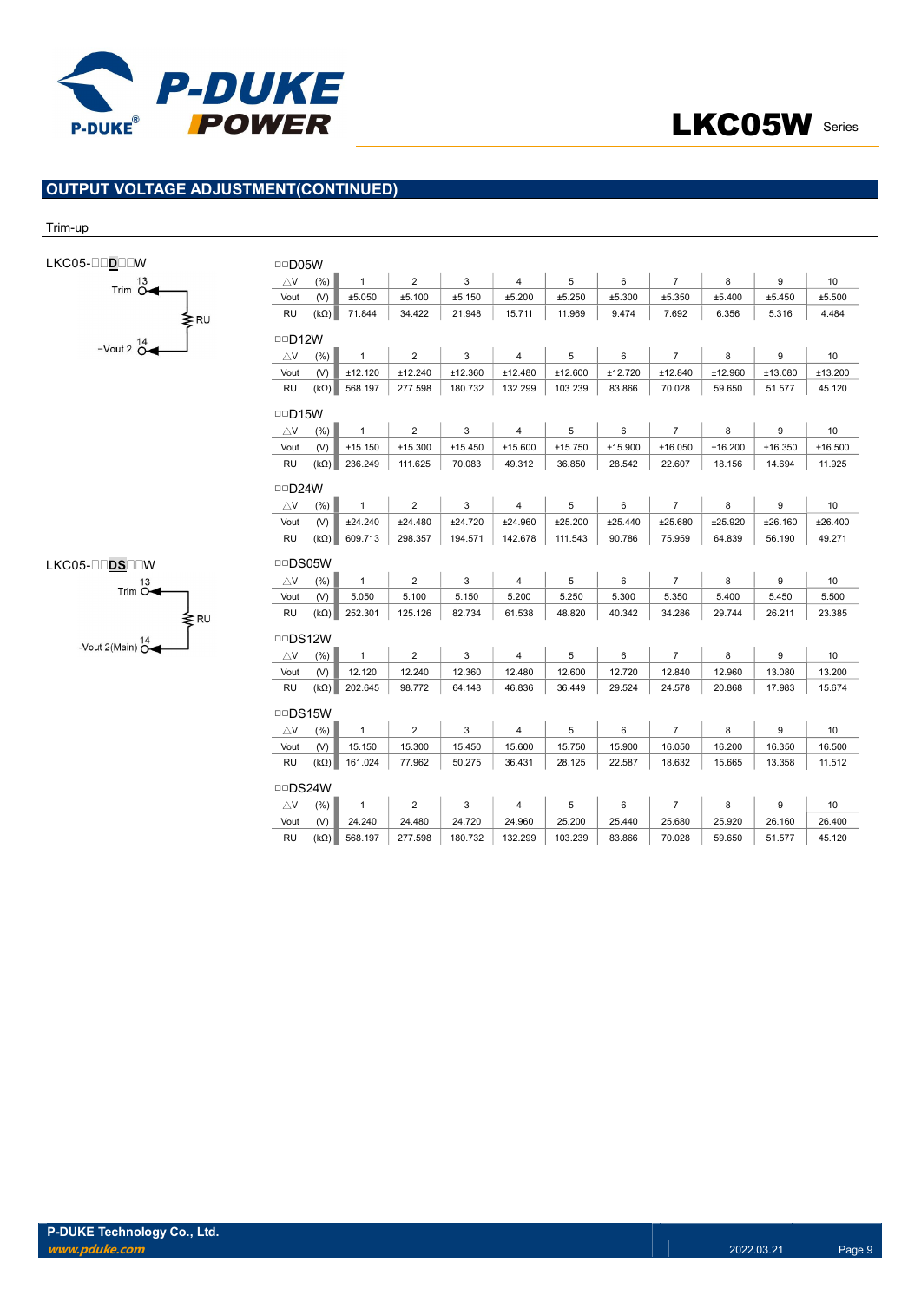

## OUTPUT VOLTAGE ADJUSTMENT(CONTINUED)

#### Trim-up

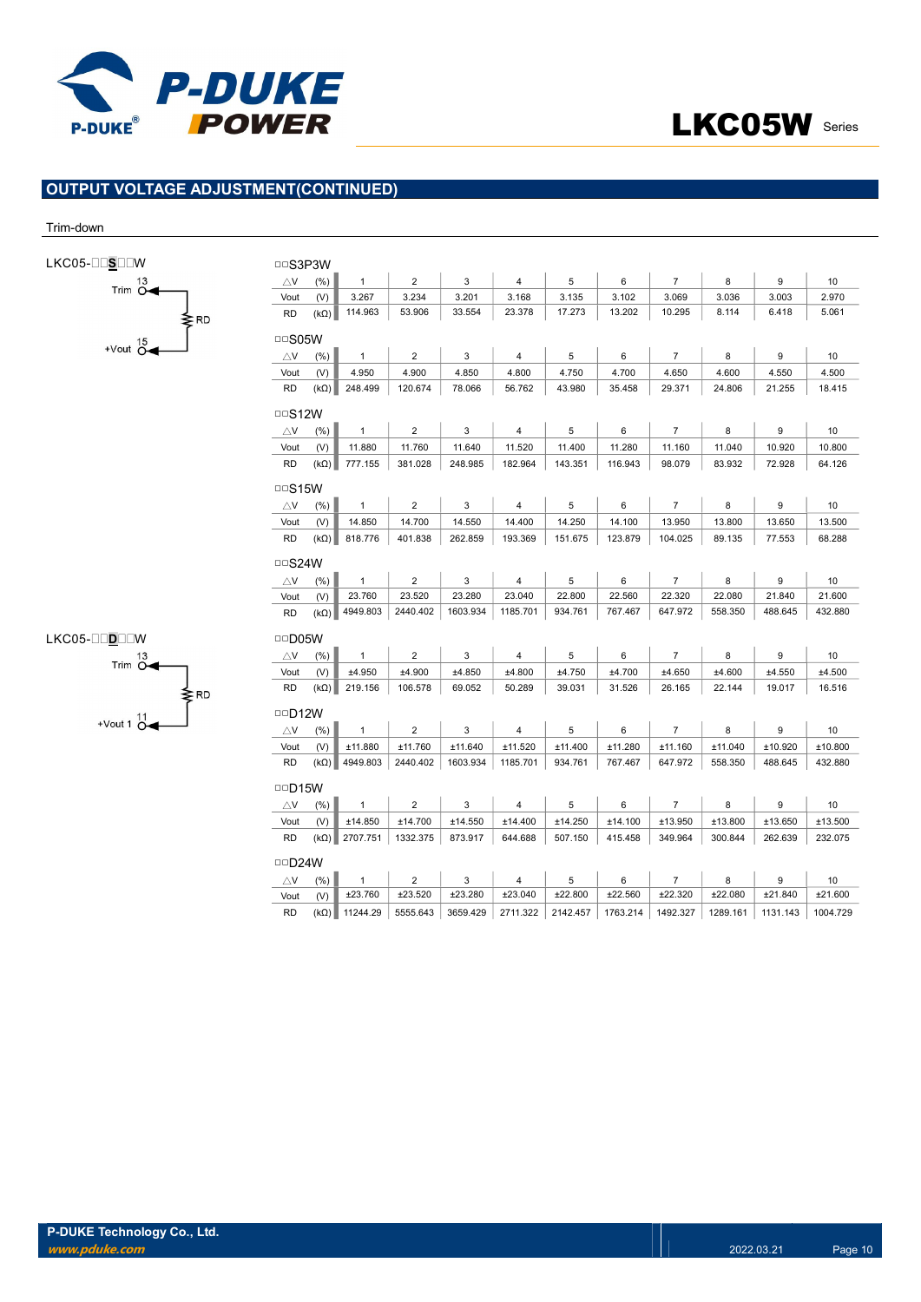

# OUTPUT VOLTAGE ADJUSTMENT(CONTINUED)

### Trim-down

| LKC05-⊟⊟S⊟⊟W           | <b>DDS3P3W</b>             |             |                      |                |                           |                |          |          |                |          |                  |          |
|------------------------|----------------------------|-------------|----------------------|----------------|---------------------------|----------------|----------|----------|----------------|----------|------------------|----------|
| Trim $\overline{O}$    | $\bigtriangleup$ V         | (% )        | $\mathbf{1}$         | $\overline{c}$ | 3                         | $\overline{4}$ | 5        | 6        | $\overline{7}$ | 8        | $\boldsymbol{9}$ | 10       |
|                        | Vout                       | (V)         | 3.267                | 3.234          | 3.201                     | 3.168          | 3.135    | 3.102    | 3.069          | 3.036    | 3.003            | 2.970    |
| ≱RD                    | <b>RD</b>                  | $(k\Omega)$ | 114.963              | 53.906         | 33.554                    | 23.378         | 17.273   | 13.202   | 10.295         | 8.114    | 6.418            | 5.061    |
| +Vout $\overline{O}$   | <b>DDS05W</b>              |             |                      |                |                           |                |          |          |                |          |                  |          |
|                        | $\triangle$ V              | (% )        | $\overline{1}$       | 2              | 3                         | 4              | 5        | 6        | $\overline{7}$ | 8        | 9                | 10       |
|                        | Vout                       | (V)         | 4.950                | 4.900          | 4.850                     | 4.800          | 4.750    | 4.700    | 4.650          | 4.600    | 4.550            | 4.500    |
|                        | <b>RD</b>                  | $(k\Omega)$ | 248.499              | 120.674        | 78.066                    | 56.762         | 43.980   | 35.458   | 29.371         | 24.806   | 21.255           | 18.415   |
|                        | $\Box$ S12W                |             |                      |                |                           |                |          |          |                |          |                  |          |
|                        | $\bigtriangleup$ V         | (% )        | $\mathbf{1}$         | $\overline{2}$ | 3                         | $\overline{4}$ | 5        | 6        | $\overline{7}$ | 8        | 9                | 10       |
|                        | Vout                       | (V)         | 11.880               | 11.760         | 11.640                    | 11.520         | 11.400   | 11.280   | 11.160         | 11.040   | 10.920           | 10.800   |
|                        | <b>RD</b>                  | $(k\Omega)$ | 777.155              | 381.028        | 248.985                   | 182.964        | 143.351  | 116.943  | 98.079         | 83.932   | 72.928           | 64.126   |
|                        | $\Box$ S15W                |             |                      |                |                           |                |          |          |                |          |                  |          |
|                        | $\bigtriangleup\mathsf{V}$ | (%)         | $\mathbf{1}$         | $\overline{c}$ | 3                         | 4              | 5        | 6        | $\overline{7}$ | 8        | 9                | 10       |
|                        | Vout                       | (V)         | 14.850               | 14.700         | 14.550                    | 14.400         | 14.250   | 14.100   | 13.950         | 13.800   | 13.650           | 13.500   |
|                        | <b>RD</b>                  | $(k\Omega)$ | 818.776              | 401.838        | 262.859                   | 193.369        | 151.675  | 123.879  | 104.025        | 89.135   | 77.553           | 68.288   |
|                        | $\Box$ S24W                |             |                      |                |                           |                |          |          |                |          |                  |          |
|                        | $\bigtriangleup\mathsf{V}$ | (%)         | $\overline{1}$       | $\overline{c}$ | 3                         | 4              | 5        | 6        | $\overline{7}$ | 8        | $\boldsymbol{9}$ | 10       |
|                        | Vout                       | (V)         | 23.760               | 23.520         | 23.280                    | 23.040         | 22.800   | 22.560   | 22.320         | 22.080   | 21.840           | 21.600   |
|                        | <b>RD</b>                  | $(k\Omega)$ | 4949.803             | 2440.402       | 1603.934                  | 1185.701       | 934.761  | 767.467  | 647.972        | 558.350  | 488.645          | 432.880  |
| LKC05-⊟⊟D⊟⊟W           | <b>DD05W</b>               |             |                      |                |                           |                |          |          |                |          |                  |          |
| Trim $\overline{O}$    | $\bigtriangleup$ V         | (% )        | $\overline{1}$       | $\overline{2}$ | 3                         | $\overline{4}$ | 5        | 6        | $\overline{7}$ | 8        | 9                | 10       |
|                        | Vout                       | (V)         | ±4.950               | ±4.900         | ±4.850                    | ±4.800         | ±4.750   | ±4.700   | ±4.650         | ±4.600   | ±4.550           | ±4.500   |
| ≱RD                    | <b>RD</b>                  | $(k\Omega)$ | 219.156              | 106.578        | 69.052                    | 50.289         | 39.031   | 31.526   | 26.165         | 22.144   | 19.017           | 16.516   |
| +Vout 1 $\frac{11}{0}$ | $\Box$ D12W                |             |                      |                |                           |                |          |          |                |          |                  |          |
|                        | $\triangle$ V              | (% )        | $\mathbf{1}$         | $\overline{2}$ | 3                         | 4              | 5        | 6        | $\overline{7}$ | 8        | 9                | 10       |
|                        | Vout                       | (V)         | ±11.880              | ±11.760        | ±11.640                   | ±11.520        | ±11.400  | ±11.280  | ±11.160        | ±11.040  | ±10.920          | ±10.800  |
|                        | <b>RD</b>                  |             | $(k\Omega)$ 4949.803 | 2440.402       | 1603.934                  | 1185.701       | 934.761  | 767.467  | 647.972        | 558.350  | 488.645          | 432.880  |
|                        | $\Box$ D15W                |             |                      |                |                           |                |          |          |                |          |                  |          |
|                        | $\bigtriangleup\mathsf{V}$ | (% )        | $\overline{1}$       | $\overline{2}$ | $\ensuremath{\mathsf{3}}$ | $\overline{4}$ | 5        | 6        | $\overline{7}$ | 8        | $\boldsymbol{9}$ | 10       |
|                        | Vout                       | (V)         | ±14.850              | ±14.700        | ±14.550                   | ±14.400        | ±14.250  | ±14.100  | ±13.950        | ±13.800  | ±13.650          | ±13.500  |
|                        | <b>RD</b>                  |             | $(k\Omega)$ 2707.751 | 1332.375       | 873.917                   | 644.688        | 507.150  | 415.458  | 349.964        | 300.844  | 262.639          | 232.075  |
|                        | <b>DD24W</b>               |             |                      |                |                           |                |          |          |                |          |                  |          |
|                        | $\triangle$ V              | (%)         | $\mathbf{1}$         | $\overline{c}$ | $\mathbf{3}$              | $\overline{4}$ | 5        | 6        | $\overline{7}$ | 8        | $\boldsymbol{9}$ | 10       |
|                        | Vout                       | (V)         | ±23.760              | ±23.520        | ±23.280                   | ±23.040        | ±22.800  | ±22.560  | ±22.320        | ±22.080  | ±21.840          | ±21.600  |
|                        | <b>RD</b>                  | $(k\Omega)$ | 11244.29             | 5555.643       | 3659.429                  | 2711.322       | 2142.457 | 1763.214 | 1492.327       | 1289.161 | 1131.143         | 1004.729 |